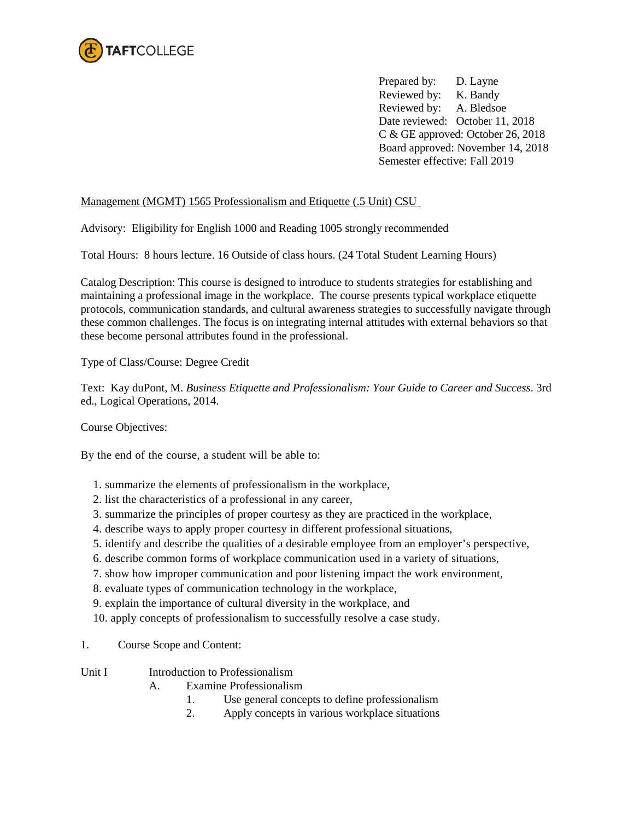

Prepared by: D. Layne Reviewed by: K. Bandy Reviewed by: A. Bledsoe Date reviewed: October 11, 2018 C & GE approved: October 26, 2018 Board approved: November 14, 2018 Semester effective: Fall 2019

## Management (MGMT) 1565 Professionalism and Etiquette (.5 Unit) CSU

Advisory: Eligibility for English 1000 and Reading 1005 strongly recommended

Total Hours: 8 hours lecture. 16 Outside of class hours. (24 Total Student Learning Hours)

Catalog Description: This course is designed to introduce to students strategies for establishing and maintaining a professional image in the workplace. The course presents typical workplace etiquette protocols, communication standards, and cultural awareness strategies to successfully navigate through these common challenges. The focus is on integrating internal attitudes with external behaviors so that these become personal attributes found in the professional.

Type of Class/Course: Degree Credit

Text: Kay duPont, M. *Business Etiquette and Professionalism: Your Guide to Career and Success*. 3rd ed., Logical Operations, 2014.

Course Objectives:

By the end of the course, a student will be able to:

- 1. summarize the elements of professionalism in the workplace,
- 2. list the characteristics of a professional in any career,
- 3. summarize the principles of proper courtesy as they are practiced in the workplace,
- 4. describe ways to apply proper courtesy in different professional situations,
- 5. identify and describe the qualities of a desirable employee from an employer's perspective,
- 6. describe common forms of workplace communication used in a variety of situations,
- 7. show how improper communication and poor listening impact the work environment,
- 8. evaluate types of communication technology in the workplace,
- 9. explain the importance of cultural diversity in the workplace, and
- 10. apply concepts of professionalism to successfully resolve a case study.
- 1. Course Scope and Content:
- Unit I Introduction to Professionalism
	- A. Examine Professionalism
		- 1. Use general concepts to define professionalism
		- 2. Apply concepts in various workplace situations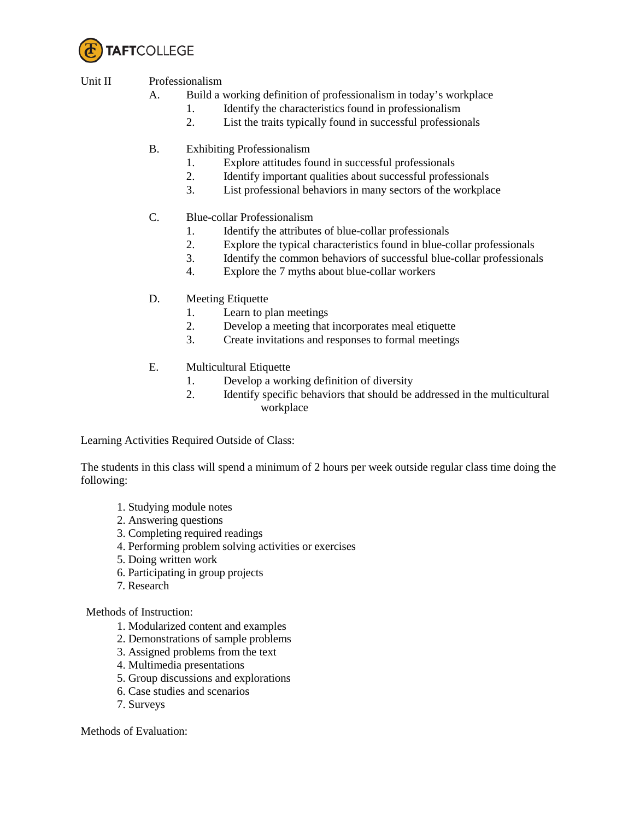

# Unit II Professionalism

- A. Build a working definition of professionalism in today's workplace
	- 1. Identify the characteristics found in professionalism
	- 2. List the traits typically found in successful professionals
- B. Exhibiting Professionalism
	- 1. Explore attitudes found in successful professionals
	- 2. Identify important qualities about successful professionals
	- 3. List professional behaviors in many sectors of the workplace
- C. Blue-collar Professionalism
	- 1. Identify the attributes of blue-collar professionals
	- 2. Explore the typical characteristics found in blue-collar professionals
	- 3. Identify the common behaviors of successful blue-collar professionals
	- 4. Explore the 7 myths about blue-collar workers
- D. Meeting Etiquette
	- 1. Learn to plan meetings
	- 2. Develop a meeting that incorporates meal etiquette
	- 3. Create invitations and responses to formal meetings
- E. Multicultural Etiquette
	- 1. Develop a working definition of diversity
	- 2. Identify specific behaviors that should be addressed in the multicultural workplace

Learning Activities Required Outside of Class:

The students in this class will spend a minimum of 2 hours per week outside regular class time doing the following:

- 1. Studying module notes
- 2. Answering questions
- 3. Completing required readings
- 4. Performing problem solving activities or exercises
- 5. Doing written work
- 6. Participating in group projects
- 7. Research

Methods of Instruction:

- 1. Modularized content and examples
- 2. Demonstrations of sample problems
- 3. Assigned problems from the text
- 4. Multimedia presentations
- 5. Group discussions and explorations
- 6. Case studies and scenarios
- 7. Surveys

Methods of Evaluation: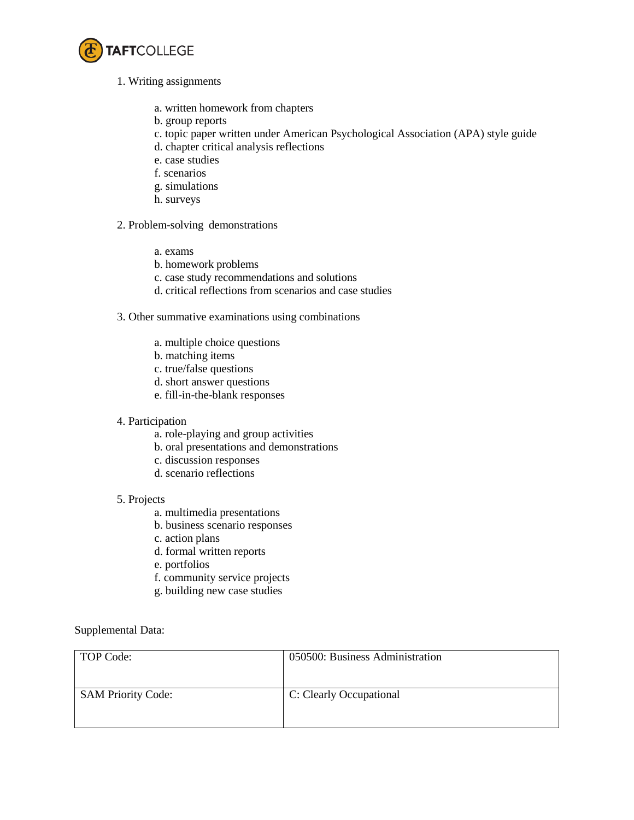

- 1. Writing assignments
	- a. written homework from chapters
	- b. group reports
	- c. topic paper written under American Psychological Association (APA) style guide
	- d. chapter critical analysis reflections
	- e. case studies
	- f. scenarios
	- g. simulations
	- h. surveys

### 2. Problem-solving demonstrations

- a. exams
- b. homework problems
- c. case study recommendations and solutions
- d. critical reflections from scenarios and case studies
- 3. Other summative examinations using combinations
	- a. multiple choice questions
	- b. matching items
	- c. true/false questions
	- d. short answer questions
	- e. fill-in-the-blank responses

### 4. Participation

- a. role-playing and group activities
- b. oral presentations and demonstrations
- c. discussion responses
- d. scenario reflections

#### 5. Projects

- a. multimedia presentations
- b. business scenario responses
- c. action plans
- d. formal written reports
- e. portfolios
- f. community service projects
- g. building new case studies

Supplemental Data:

| TOP Code:                 | 050500: Business Administration |
|---------------------------|---------------------------------|
| <b>SAM Priority Code:</b> | C: Clearly Occupational         |
|                           |                                 |